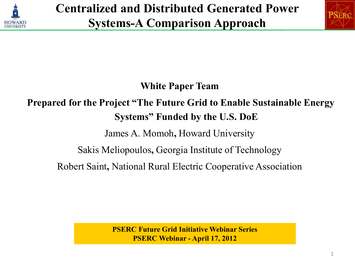



**White Paper Team** 

#### **Prepared for the Project "The Future Grid to Enable Sustainable Energy Systems" Funded by the U.S. DoE**

James A. Momoh**,** Howard University

Sakis Meliopoulos**,** Georgia Institute of Technology

Robert Saint**,** National Rural Electric Cooperative Association

**PSERC Future Grid Initiative Webinar Series PSERC Webinar - April 17, 2012**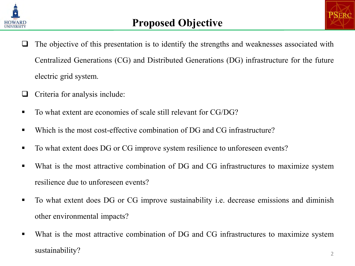



- $\Box$  The objective of this presentation is to identify the strengths and weaknesses associated with Centralized Generations (CG) and Distributed Generations (DG) infrastructure for the future electric grid system.
- $\Box$  Criteria for analysis include:
- To what extent are economies of scale still relevant for CG/DG?
- Which is the most cost-effective combination of DG and CG infrastructure?
- To what extent does DG or CG improve system resilience to unforeseen events?
- What is the most attractive combination of DG and CG infrastructures to maximize system resilience due to unforeseen events?
- To what extent does DG or CG improve sustainability i.e. decrease emissions and diminish other environmental impacts?
- What is the most attractive combination of DG and CG infrastructures to maximize system  $s$ ustainability?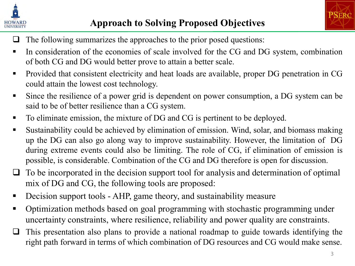

- $\Box$  The following summarizes the approaches to the prior posed questions:
- In consideration of the economies of scale involved for the CG and DG system, combination of both CG and DG would better prove to attain a better scale.
- **Provided that consistent electricity and heat loads are available, proper DG penetration in CG** could attain the lowest cost technology.
- Since the resilience of a power grid is dependent on power consumption, a DG system can be said to be of better resilience than a CG system.
- To eliminate emission, the mixture of DG and CG is pertinent to be deployed.
- Sustainability could be achieved by elimination of emission. Wind, solar, and biomass making up the DG can also go along way to improve sustainability. However, the limitation of DG during extreme events could also be limiting. The role of CG, if elimination of emission is possible, is considerable. Combination of the CG and DG therefore is open for discussion.
- $\Box$  To be incorporated in the decision support tool for analysis and determination of optimal mix of DG and CG, the following tools are proposed:
- Decision support tools AHP, game theory, and sustainability measure
- Optimization methods based on goal programming with stochastic programming under uncertainty constraints, where resilience, reliability and power quality are constraints.
- $\Box$  This presentation also plans to provide a national roadmap to guide towards identifying the right path forward in terms of which combination of DG resources and CG would make sense.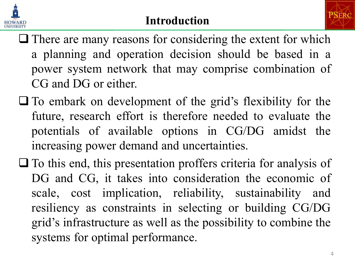



- $\Box$  There are many reasons for considering the extent for which a planning and operation decision should be based in a power system network that may comprise combination of CG and DG or either.
- $\Box$  To embark on development of the grid's flexibility for the future, research effort is therefore needed to evaluate the potentials of available options in CG/DG amidst the increasing power demand and uncertainties.
- $\Box$  To this end, this presentation proffers criteria for analysis of DG and CG, it takes into consideration the economic of scale, cost implication, reliability, sustainability and resiliency as constraints in selecting or building CG/DG grid's infrastructure as well as the possibility to combine the systems for optimal performance.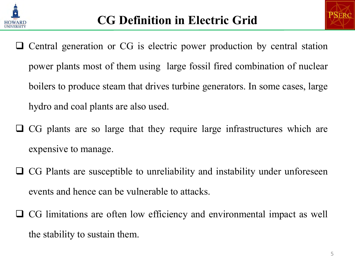



- Central generation or CG is electric power production by central station power plants most of them using large fossil fired combination of nuclear boilers to produce steam that drives turbine generators. In some cases, large hydro and coal plants are also used.
- CG plants are so large that they require large infrastructures which are expensive to manage.
- $\Box$  CG Plants are susceptible to unreliability and instability under unforeseen events and hence can be vulnerable to attacks.
- CG limitations are often low efficiency and environmental impact as well the stability to sustain them.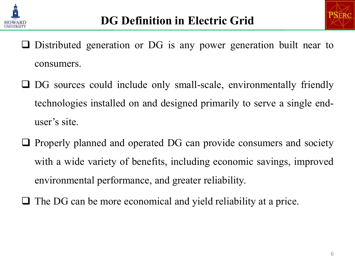



- $\Box$  Distributed generation or DG is any power generation built near to consumers.
- DG sources could include only small-scale, environmentally friendly technologies installed on and designed primarily to serve a single enduser's site.
- $\Box$  Properly planned and operated DG can provide consumers and society with a wide variety of benefits, including economic savings, improved environmental performance, and greater reliability.
- $\Box$  The DG can be more economical and yield reliability at a price.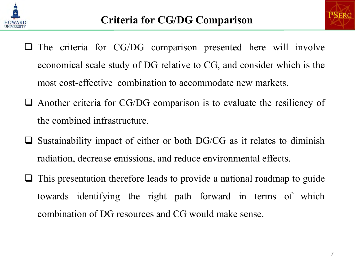



- $\Box$  The criteria for CG/DG comparison presented here will involve economical scale study of DG relative to CG, and consider which is the most cost-effective combination to accommodate new markets.
- $\Box$  Another criteria for CG/DG comparison is to evaluate the resiliency of the combined infrastructure.
- $\Box$  Sustainability impact of either or both DG/CG as it relates to diminish radiation, decrease emissions, and reduce environmental effects.
- $\Box$  This presentation therefore leads to provide a national roadmap to guide towards identifying the right path forward in terms of which combination of DG resources and CG would make sense.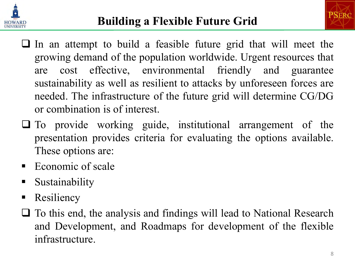

- $\Box$  In an attempt to build a feasible future grid that will meet the growing demand of the population worldwide. Urgent resources that are cost effective, environmental friendly and guarantee sustainability as well as resilient to attacks by unforeseen forces are needed. The infrastructure of the future grid will determine CG/DG or combination is of interest.
- $\Box$  To provide working guide, institutional arrangement of the presentation provides criteria for evaluating the options available. These options are:
- Economic of scale
- **Sustainability**
- Resiliency
- $\Box$  To this end, the analysis and findings will lead to National Research and Development, and Roadmaps for development of the flexible infrastructure.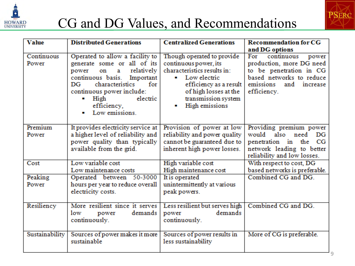

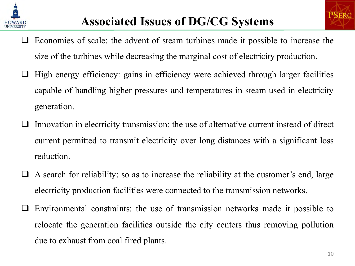

- $\Box$  Economies of scale: the advent of steam turbines made it possible to increase the size of the turbines while decreasing the marginal cost of electricity production.
- High energy efficiency: gains in efficiency were achieved through larger facilities capable of handling higher pressures and temperatures in steam used in electricity generation.
- Innovation in electricity transmission: the use of alternative current instead of direct current permitted to transmit electricity over long distances with a significant loss reduction.
- A search for reliability: so as to increase the reliability at the customer's end, large electricity production facilities were connected to the transmission networks.
- Environmental constraints: the use of transmission networks made it possible to relocate the generation facilities outside the city centers thus removing pollution due to exhaust from coal fired plants.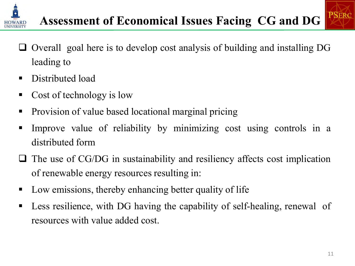



- $\Box$  Overall goal here is to develop cost analysis of building and installing DG leading to
- Distributed load
- Cost of technology is low
- Provision of value based locational marginal pricing
- Improve value of reliability by minimizing cost using controls in a distributed form
- $\Box$  The use of CG/DG in sustainability and resiliency affects cost implication of renewable energy resources resulting in:
- Low emissions, thereby enhancing better quality of life
- **Less resilience, with DG having the capability of self-healing, renewal of** resources with value added cost.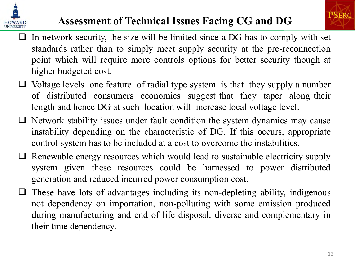



#### **Assessment of Technical Issues Facing CG and DG**

- $\Box$  In network security, the size will be limited since a DG has to comply with set standards rather than to simply meet supply security at the pre-reconnection point which will require more controls options for better security though at higher budgeted cost.
- $\Box$  Voltage levels one feature of radial type system is that they supply a number of distributed consumers economics suggest that they taper along their length and hence DG at such location will increase local voltage level.
- $\Box$  Network stability issues under fault condition the system dynamics may cause instability depending on the characteristic of DG. If this occurs, appropriate control system has to be included at a cost to overcome the instabilities.
- $\Box$  Renewable energy resources which would lead to sustainable electricity supply system given these resources could be harnessed to power distributed generation and reduced incurred power consumption cost.
- $\Box$  These have lots of advantages including its non-depleting ability, indigenous not dependency on importation, non-polluting with some emission produced during manufacturing and end of life disposal, diverse and complementary in their time dependency.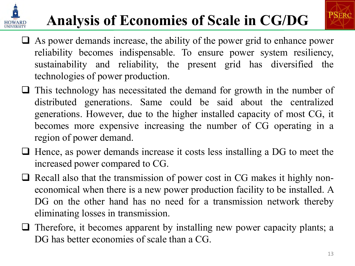# **Analysis of Economies of Scale in CG/DG**



- $\Box$  As power demands increase, the ability of the power grid to enhance power reliability becomes indispensable. To ensure power system resiliency, sustainability and reliability, the present grid has diversified the technologies of power production.
- $\Box$  This technology has necessitated the demand for growth in the number of distributed generations. Same could be said about the centralized generations. However, due to the higher installed capacity of most CG, it becomes more expensive increasing the number of CG operating in a region of power demand.
- $\Box$  Hence, as power demands increase it costs less installing a DG to meet the increased power compared to CG.
- $\Box$  Recall also that the transmission of power cost in CG makes it highly noneconomical when there is a new power production facility to be installed. A DG on the other hand has no need for a transmission network thereby eliminating losses in transmission.
- $\Box$  Therefore, it becomes apparent by installing new power capacity plants; a DG has better economies of scale than a CG.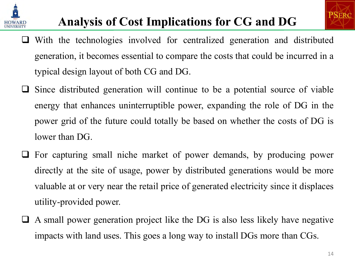

- $\Box$  With the technologies involved for centralized generation and distributed generation, it becomes essential to compare the costs that could be incurred in a typical design layout of both CG and DG.
- $\Box$  Since distributed generation will continue to be a potential source of viable energy that enhances uninterruptible power, expanding the role of DG in the power grid of the future could totally be based on whether the costs of DG is lower than DG.
- $\Box$  For capturing small niche market of power demands, by producing power directly at the site of usage, power by distributed generations would be more valuable at or very near the retail price of generated electricity since it displaces utility-provided power.
- $\Box$  A small power generation project like the DG is also less likely have negative impacts with land uses. This goes a long way to install DGs more than CGs.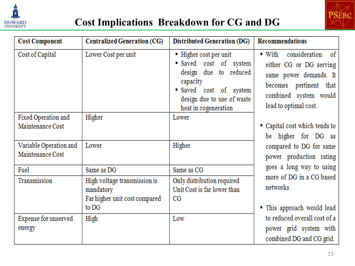



| <b>Cost Component</b>                      | <b>Centralized Generation (CG)</b>                                         | <b>Distributed Generation (DG)</b>                                                                                                                                | <b>Recommendations</b>                                                                                                                                                   |
|--------------------------------------------|----------------------------------------------------------------------------|-------------------------------------------------------------------------------------------------------------------------------------------------------------------|--------------------------------------------------------------------------------------------------------------------------------------------------------------------------|
| Cost of Capital                            | Lower Cost per unit                                                        | ■ Higher cost per unit<br>Saved cost of system<br>design due to reduced<br>capacity<br>Saved cost of system<br>design due to use of waste<br>heat in cogeneration | consideration of<br>$\blacksquare$ With<br>either CG or DG serving<br>same power demands. It<br>becomes pertinent that<br>combined system would<br>lead to optimal cost. |
| Fixed Operation and<br>Maintenance Cost    | Higher                                                                     | Lower                                                                                                                                                             | Capital cost which tends to<br>be higher for DG as                                                                                                                       |
| Variable Operation and<br>Maintenance Cost | Lower                                                                      | Higher                                                                                                                                                            | compared to DG for same<br>power production rating                                                                                                                       |
| Fuel                                       | Same as DG                                                                 | Same as CG                                                                                                                                                        | goes a long way to using                                                                                                                                                 |
| Transmission                               | High voltage transmission is<br>mandatory<br>Far higher unit cost compared | Only distribution required<br>Unit Cost is far lower than<br>$_{\rm CG}$                                                                                          | more of DG in a CG based<br>networks.                                                                                                                                    |
|                                            | to DG                                                                      |                                                                                                                                                                   | " This approach would lead                                                                                                                                               |
| Expense for unserved<br>energy             | High                                                                       | Low                                                                                                                                                               | to reduced overall cost of a<br>power grid system with<br>combined DG and CG grid.                                                                                       |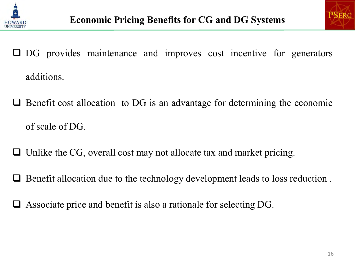



- DG provides maintenance and improves cost incentive for generators additions.
- $\Box$  Benefit cost allocation to DG is an advantage for determining the economic of scale of DG.
- $\Box$  Unlike the CG, overall cost may not allocate tax and market pricing.
- Benefit allocation due to the technology development leads to loss reduction .
- Associate price and benefit is also a rationale for selecting DG.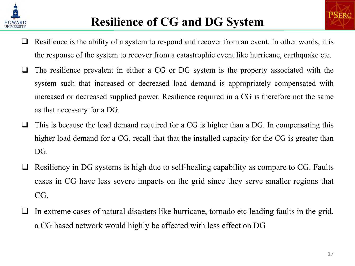



- $\Box$  Resilience is the ability of a system to respond and recover from an event. In other words, it is the response of the system to recover from a catastrophic event like hurricane, earthquake etc.
- $\Box$  The resilience prevalent in either a CG or DG system is the property associated with the system such that increased or decreased load demand is appropriately compensated with increased or decreased supplied power. Resilience required in a CG is therefore not the same as that necessary for a DG.
- $\Box$  This is because the load demand required for a CG is higher than a DG. In compensating this higher load demand for a CG, recall that that the installed capacity for the CG is greater than DG.
- $\Box$  Resiliency in DG systems is high due to self-healing capability as compare to CG. Faults cases in CG have less severe impacts on the grid since they serve smaller regions that CG.
- In extreme cases of natural disasters like hurricane, tornado etc leading faults in the grid, a CG based network would highly be affected with less effect on DG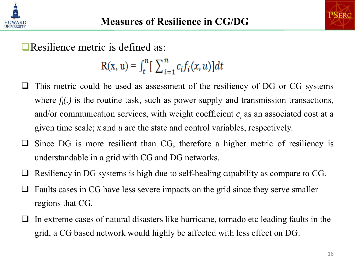



Resilience metric is defined as:

 $R(x, u) = \int_t^n \left[ \sum_{i=1}^n c_i f_i(x, u) \right] dt$ 

- This metric could be used as assessment of the resiliency of DG or CG systems where  $f_i(.)$  is the routine task, such as power supply and transmission transactions, and/or communication services, with weight coefficient  $c_i$  as an associated cost at a given time scale; *x* and *u* are the state and control variables, respectively.
- Since DG is more resilient than CG, therefore a higher metric of resiliency is understandable in a grid with CG and DG networks.
- $\Box$  Resiliency in DG systems is high due to self-healing capability as compare to CG.
- Faults cases in CG have less severe impacts on the grid since they serve smaller regions that CG.
- In extreme cases of natural disasters like hurricane, tornado etc leading faults in the grid, a CG based network would highly be affected with less effect on DG.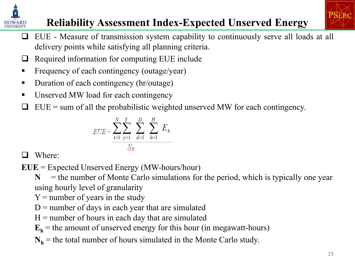

#### **Reliability Assessment Index-Expected Unserved Energy**

- $\Box$  EUE Measure of transmission system capability to continuously serve all loads at all delivery points while satisfying all planning criteria.
- $\Box$  Required information for computing EUE include
- Frequency of each contingency (outage/year)
- Duration of each contingency (hr/outage)
- Unserved MW load for each contingency
- $\Box$  EUE = sum of all the probabilistic weighted unserved MW for each contingency.

$$
EUE = \sum_{i=1}^{N} \sum_{y=1}^{Y} \sum_{d=1}^{D} \sum_{h=1}^{H} E_h
$$

□ Where:

**EUE** = Expected Unserved Energy (MW-hours/hour)

 $N =$  the number of Monte Carlo simulations for the period, which is typically one year using hourly level of granularity

- $Y =$  number of years in the study
- $D$  = number of days in each year that are simulated
- $H =$  number of hours in each day that are simulated
- $\mathbf{E}_h$  = the amount of unserved energy for this hour (in megawatt-hours)
- $N_h$  = the total number of hours simulated in the Monte Carlo study.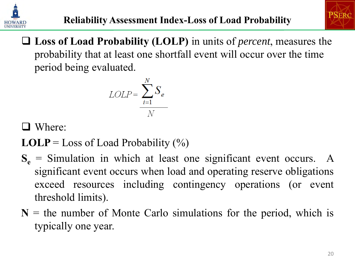



 **Loss of Load Probability (LOLP)** in units of *percent*, measures the probability that at least one shortfall event will occur over the time period being evaluated.

$$
LOLP = \frac{\sum_{i=1}^{N} S_e}{N}
$$

□ Where:

**LOLP** = Loss of Load Probability  $(\%)$ 

- $S_e$  = Simulation in which at least one significant event occurs. A significant event occurs when load and operating reserve obligations exceed resources including contingency operations (or event threshold limits).
- $N =$  the number of Monte Carlo simulations for the period, which is typically one year.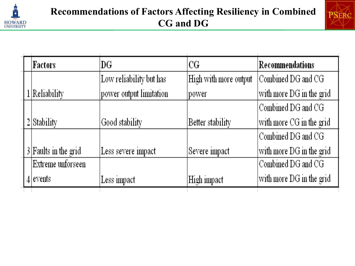



|  | Factors                | DG                      | CG                    | Recommendations          |
|--|------------------------|-------------------------|-----------------------|--------------------------|
|  |                        | Low reliability but has | High with more output | Combined DG and CG       |
|  | 1 Reliability          | power output limitation | power                 | with more DG in the grid |
|  |                        |                         |                       | Combined DG and CG       |
|  | $2$ Stability          | Good stability          | Better stability      | with more CG in the grid |
|  |                        |                         |                       | Combined DG and CG       |
|  | $3$ Faults in the grid | Less severe impact      | Severe impact         | with more DG in the grid |
|  | Extreme unforseen      |                         |                       | Combined DG and CG       |
|  | $4$ events             | Less impact             | High impact           | with more DG in the grid |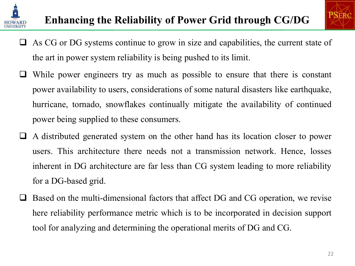



- $\Box$  As CG or DG systems continue to grow in size and capabilities, the current state of the art in power system reliability is being pushed to its limit.
- $\Box$  While power engineers try as much as possible to ensure that there is constant power availability to users, considerations of some natural disasters like earthquake, hurricane, tornado, snowflakes continually mitigate the availability of continued power being supplied to these consumers.
- A distributed generated system on the other hand has its location closer to power users. This architecture there needs not a transmission network. Hence, losses inherent in DG architecture are far less than CG system leading to more reliability for a DG-based grid.
- □ Based on the multi-dimensional factors that affect DG and CG operation, we revise here reliability performance metric which is to be incorporated in decision support tool for analyzing and determining the operational merits of DG and CG.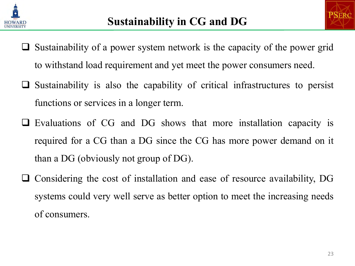



- $\Box$  Sustainability of a power system network is the capacity of the power grid to withstand load requirement and yet meet the power consumers need.
- $\Box$  Sustainability is also the capability of critical infrastructures to persist functions or services in a longer term.
- $\Box$  Evaluations of CG and DG shows that more installation capacity is required for a CG than a DG since the CG has more power demand on it than a DG (obviously not group of DG).
- $\Box$  Considering the cost of installation and ease of resource availability, DG systems could very well serve as better option to meet the increasing needs of consumers.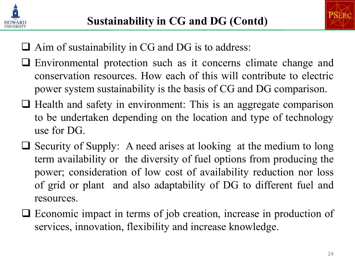



- $\Box$  Aim of sustainability in CG and DG is to address:
- Environmental protection such as it concerns climate change and conservation resources. How each of this will contribute to electric power system sustainability is the basis of CG and DG comparison.
- $\Box$  Health and safety in environment: This is an aggregate comparison to be undertaken depending on the location and type of technology use for DG.
- $\Box$  Security of Supply: A need arises at looking at the medium to long term availability or the diversity of fuel options from producing the power; consideration of low cost of availability reduction nor loss of grid or plant and also adaptability of DG to different fuel and resources.
- Economic impact in terms of job creation, increase in production of services, innovation, flexibility and increase knowledge.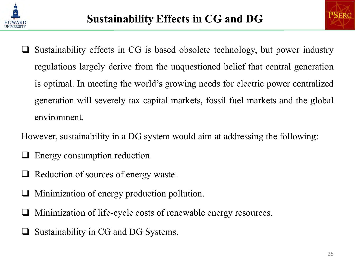



- Sustainability effects in CG is based obsolete technology, but power industry regulations largely derive from the unquestioned belief that central generation is optimal. In meeting the world's growing needs for electric power centralized generation will severely tax capital markets, fossil fuel markets and the global environment.
- However, sustainability in a DG system would aim at addressing the following:
- **Energy consumption reduction.**
- $\Box$  Reduction of sources of energy waste.
- Minimization of energy production pollution.
- Minimization of life-cycle costs of renewable energy resources.
- Sustainability in CG and DG Systems.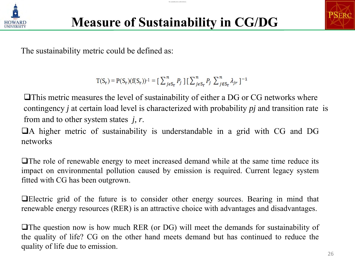

The sustainability metric could be defined as:

The sustainability metric could be defined as:

$$
T(S_r) = P(S_r)(f(S_r))^{-1} = \left[\sum_{j \in S_r}^{n} P_j\right] \left[\sum_{j \in S_r}^{n} P_j\right] \sum_{j \in S_r}^{n} \lambda_{jr} \, ]^{-1}
$$

This metric measures the level of sustainability of either a DG or CG networks where contingency *j* at certain load level is characterized with probability *pj* and transition rate is from and to other system states *j, r*.

A higher metric of sustainability is understandable in a grid with CG and DG networks

 $\Box$  The role of renewable energy to meet increased demand while at the same time reduce its impact on environmental pollution caused by emission is required. Current legacy system fitted with CG has been outgrown.

Electric grid of the future is to consider other energy sources. Bearing in mind that renewable energy resources (RER) is an attractive choice with advantages and disadvantages.

The question now is how much RER (or DG) will meet the demands for sustainability of the quality of life? CG on the other hand meets demand but has continued to reduce the quality of life due to emission.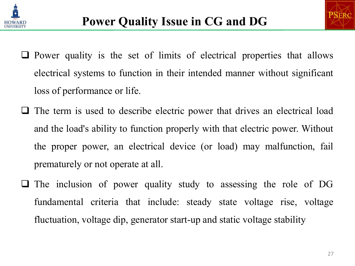



- $\Box$  Power quality is the set of limits of electrical properties that allows electrical systems to function in their intended manner without significant loss of performance or life.
- $\Box$  The term is used to describe electric power that drives an electrical load and the load's ability to function properly with that electric power. Without the proper power, an electrical device (or load) may malfunction, fail prematurely or not operate at all.
- The inclusion of power quality study to assessing the role of DG fundamental criteria that include: steady state voltage rise, voltage fluctuation, voltage dip, generator start-up and static voltage stability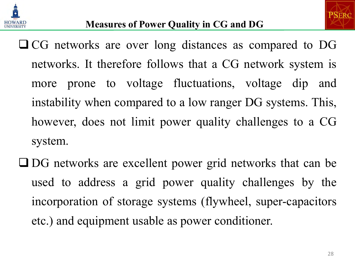



- CG networks are over long distances as compared to DG networks. It therefore follows that a CG network system is more prone to voltage fluctuations, voltage dip and instability when compared to a low ranger DG systems. This, however, does not limit power quality challenges to a CG system.
- DG networks are excellent power grid networks that can be used to address a grid power quality challenges by the incorporation of storage systems (flywheel, super-capacitors etc.) and equipment usable as power conditioner.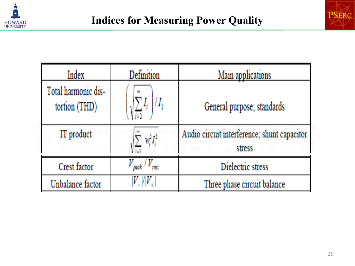



| Index                                | Definition                     | Main applications                                     |
|--------------------------------------|--------------------------------|-------------------------------------------------------|
| Total harmonic dis-<br>tortion (THD) | <b>CO</b>                      | General purpose; standards                            |
| IT product                           | $W_i^2 I_i^2$                  | Audio circuit interference; shunt capacitor<br>stress |
| Crest factor                         | $V_{\rm peak}$ / $V_{\rm rms}$ | Dielectric stress                                     |
| Unbalance factor                     |                                | Three phase circuit balance                           |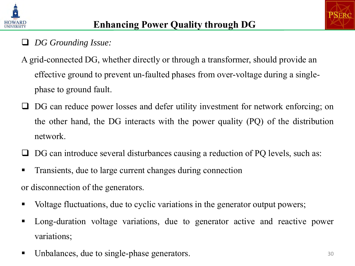

#### *DG Grounding Issue:*

- A grid-connected DG, whether directly or through a transformer, should provide an effective ground to prevent un-faulted phases from over-voltage during a singlephase to ground fault.
- DG can reduce power losses and defer utility investment for network enforcing; on the other hand, the DG interacts with the power quality (PQ) of the distribution network.
- $\Box$  DG can introduce several disturbances causing a reduction of PQ levels, such as:
- **Transients, due to large current changes during connection**

or disconnection of the generators.

- Voltage fluctuations, due to cyclic variations in the generator output powers;
- Long-duration voltage variations, due to generator active and reactive power variations;
- Unbalances, due to single-phase generators.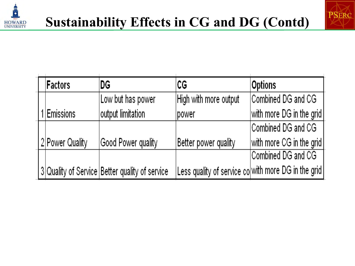



|  | Factors         | DG                                             | СG                                                  | <b>Options</b>           |
|--|-----------------|------------------------------------------------|-----------------------------------------------------|--------------------------|
|  |                 | Low but has power                              | High with more output                               | Combined DG and CG       |
|  | Emissions       | output limitation                              | power                                               | with more DG in the grid |
|  |                 |                                                |                                                     | Combined DG and CG       |
|  | 2 Power Quality | Good Power quality                             | Better power quality                                | with more CG in the grid |
|  |                 |                                                |                                                     | Combined DG and CG       |
|  |                 | 3 Quality of Service Better quality of service | Less quality of service co with more DG in the grid |                          |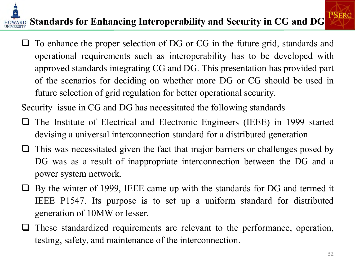# **E**<br>**EQUARD** Standards for Enhancing Interoperability and Security in CG and DG **PSERC**

 $\Box$  To enhance the proper selection of DG or CG in the future grid, standards and operational requirements such as interoperability has to be developed with approved standards integrating CG and DG. This presentation has provided part of the scenarios for deciding on whether more DG or CG should be used in future selection of grid regulation for better operational security.

Security issue in CG and DG has necessitated the following standards

- $\Box$  The Institute of Electrical and Electronic Engineers (IEEE) in 1999 started devising a universal interconnection standard for a distributed generation
- $\Box$  This was necessitated given the fact that major barriers or challenges posed by DG was as a result of inappropriate interconnection between the DG and a power system network.
- By the winter of 1999, IEEE came up with the standards for DG and termed it IEEE P1547. Its purpose is to set up a uniform standard for distributed generation of 10MW or lesser.
- $\Box$  These standardized requirements are relevant to the performance, operation, testing, safety, and maintenance of the interconnection.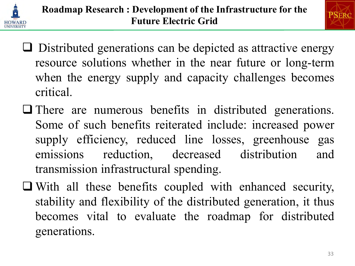



- $\Box$  Distributed generations can be depicted as attractive energy resource solutions whether in the near future or long-term when the energy supply and capacity challenges becomes critical.
- There are numerous benefits in distributed generations. Some of such benefits reiterated include: increased power supply efficiency, reduced line losses, greenhouse gas emissions reduction, decreased distribution and transmission infrastructural spending.
- With all these benefits coupled with enhanced security, stability and flexibility of the distributed generation, it thus becomes vital to evaluate the roadmap for distributed generations.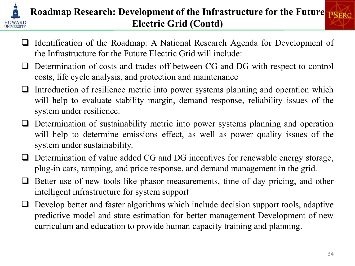

#### **Roadmap Research: Development of the Infrastructure for the Future Electric Grid (Contd)**

- □ Identification of the Roadmap: A National Research Agenda for Development of the Infrastructure for the Future Electric Grid will include:
- Determination of costs and trades off between CG and DG with respect to control costs, life cycle analysis, and protection and maintenance
- Introduction of resilience metric into power systems planning and operation which will help to evaluate stability margin, demand response, reliability issues of the system under resilience.
- Determination of sustainability metric into power systems planning and operation will help to determine emissions effect, as well as power quality issues of the system under sustainability.
- □ Determination of value added CG and DG incentives for renewable energy storage, plug-in cars, ramping, and price response, and demand management in the grid.
- $\Box$  Better use of new tools like phasor measurements, time of day pricing, and other intelligent infrastructure for system support
- $\Box$  Develop better and faster algorithms which include decision support tools, adaptive predictive model and state estimation for better management Development of new curriculum and education to provide human capacity training and planning.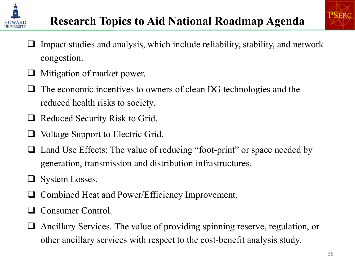



- Impact studies and analysis, which include reliability, stability, and network congestion.
- Mitigation of market power.
- The economic incentives to owners of clean DG technologies and the reduced health risks to society.
- $\Box$  Reduced Security Risk to Grid.
- $\Box$  Voltage Support to Electric Grid.
- □ Land Use Effects: The value of reducing "foot-print" or space needed by generation, transmission and distribution infrastructures.
- $\Box$  System Losses.
- Combined Heat and Power/Efficiency Improvement.
- **Q** Consumer Control.
- Ancillary Services. The value of providing spinning reserve, regulation, or other ancillary services with respect to the cost-benefit analysis study.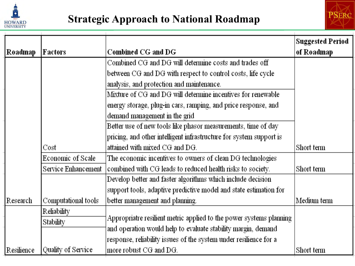



|            |                     |                                                                     | <b>Suggested Period</b> |
|------------|---------------------|---------------------------------------------------------------------|-------------------------|
| Roadmap    | Factors             | Combined CG and DG                                                  | of Roadmap              |
|            |                     | Combined CG and DG will determine costs and trades off              |                         |
|            |                     | between CG and DG with respect to control costs, life cycle         |                         |
|            |                     | analysis, and protection and maintenance.                           |                         |
|            |                     | Mixture of CG and DG will determine incentives for renewable        |                         |
|            |                     | energy storage, plug-in cars, ramping, and price response, and      |                         |
|            |                     | demand management in the grid                                       |                         |
|            |                     | Better use of new tools like phasor measurements, time of day       |                         |
|            |                     | pricing, and other intelligent infrastructure for system support is |                         |
|            | Cost                | attained with mixed CG and DG.                                      | Short term              |
|            | Economic of Scale   | The economic incentives to owners of clean DG technologies          |                         |
|            | Service Enhancement | combined with CG leads to reduced health risks to society.          | Short term              |
|            |                     | Develop better and faster algorithms which include decision         |                         |
|            |                     | support tools, adaptive predictive model and state estimation for   |                         |
| Research   | Computational tools | better management and planning.                                     | Medium term             |
|            | Reliability         |                                                                     |                         |
|            | Stability           | Appropriatre resilient metric applied to the power systems planning |                         |
|            |                     | and operation would help to evaluate stability margin, demand       |                         |
|            |                     | response, reliability issues of the system under resilience for a   |                         |
| Resilience | Quality of Service  | more robust CG and DG.                                              | Short term              |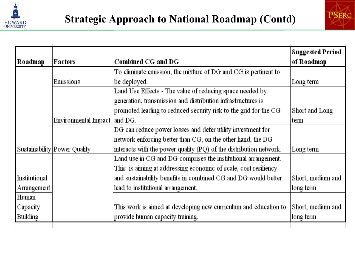



| Roadmap       | Factors                        | Combined CG and DG                                                   | <b>Suggested Period</b><br>of Roadmap |
|---------------|--------------------------------|----------------------------------------------------------------------|---------------------------------------|
|               |                                | To eliminate emission, the mixture of DG and CG is pertinent to $\,$ |                                       |
|               | Emissions                      | be deployed.                                                         | Long term                             |
|               |                                | Land Use Effects - The value of reducing space needed by             |                                       |
|               |                                | generation, transmission and distribution infrastructures is         |                                       |
|               |                                | promoted leading to reduced security risk to the grid for the CG     | Short and Long                        |
|               | Environmental Impact   and DG. |                                                                      | ∣term                                 |
|               |                                | DG can reduce power losses and defer utility investment for          |                                       |
|               |                                | network enforcing better than CG; on the other hand, the DG          |                                       |
|               | Sustainability Power Quality   | interacts with the power quality (PQ) of the distribution network.   | Long term                             |
|               |                                | Land use in CG and DG comprises the institutional arrangement.       |                                       |
|               |                                | This is aiming at addressing economic of scale, cost resiliency      |                                       |
| Institutional |                                | and sustainability benefits in combined CG and DG would better       | Short, medium and                     |
| Arrangement   |                                | lead to institutional arrangement.                                   | long term                             |
| Human         |                                |                                                                      |                                       |
| Capacity      |                                | This work is aimed at developing new curriculum and education to     | Short, medium and                     |
| Building      |                                | provide human capacity training.                                     | long term                             |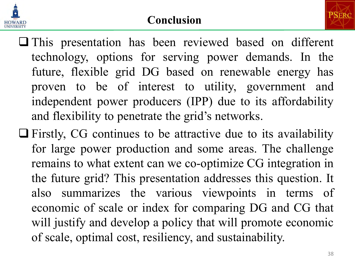

#### **Conclusion**

- **PSERC**
- This presentation has been reviewed based on different technology, options for serving power demands. In the future, flexible grid DG based on renewable energy has proven to be of interest to utility, government and independent power producers (IPP) due to its affordability and flexibility to penetrate the grid's networks.
- $\Box$  Firstly, CG continues to be attractive due to its availability for large power production and some areas. The challenge remains to what extent can we co-optimize CG integration in the future grid? This presentation addresses this question. It also summarizes the various viewpoints in terms of economic of scale or index for comparing DG and CG that will justify and develop a policy that will promote economic of scale, optimal cost, resiliency, and sustainability.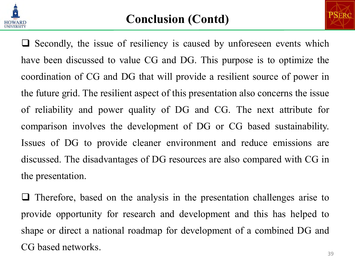



 $\Box$  Secondly, the issue of resiliency is caused by unforeseen events which have been discussed to value CG and DG. This purpose is to optimize the coordination of CG and DG that will provide a resilient source of power in the future grid. The resilient aspect of this presentation also concerns the issue of reliability and power quality of DG and CG. The next attribute for comparison involves the development of DG or CG based sustainability. Issues of DG to provide cleaner environment and reduce emissions are discussed. The disadvantages of DG resources are also compared with CG in the presentation.

 $\Box$  Therefore, based on the analysis in the presentation challenges arise to provide opportunity for research and development and this has helped to shape or direct a national roadmap for development of a combined DG and CG based networks.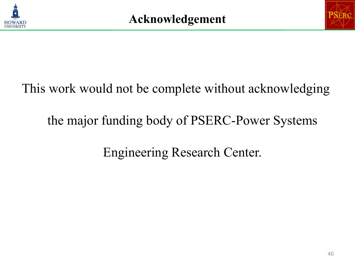



# This work would not be complete without acknowledging

## the major funding body of PSERC-Power Systems

## Engineering Research Center.